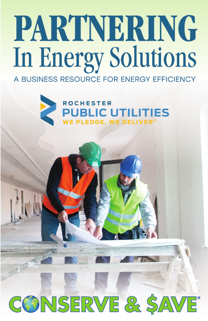# PARTNERING In Energy Solutions A BUSINESS RESOURCE FOR ENERGY EFFICIENCY



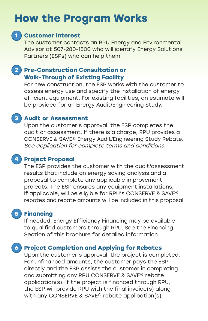## **How the Program Works**



### **1 Customer Interest**

The customer contacts an RPU Energy and Environmental Advisor at 507-280-1500 who will identify Energy Solutions Partners (ESPs) who can help them.

### **2 Pre-Construction Consultation or Walk-Through of Existing Facility**

For new construction, the ESP works with the customer to assess energy use and specify the installation of energy efficient equipment. For existing facilities, an estimate will be provided for an Energy Audit/Engineering Study.

### **3 Audit or Assessment**

Upon the customer's approval, the ESP completes the audit or assessment. If there is a charge, RPU provides a CONSERVE & SAVE® Energy Audit/Engineering Study Rebate. See application for complete terms and conditions.

### **4 Project Proposal**

The ESP provides the customer with the audit/assessment results that include an energy saving analysis and a proposal to complete any applicable improvement projects. The ESP ensures any equipment installations, if applicable, will be eligible for RPU's CONSERVE & SAVE® rebates and rebate amounts will be included in this proposal.

### **5 Financing**

If needed, Energy Efficiency Financing may be available to qualified customers through RPU. See the Financing Section of this brochure for detailed information.

### **6 Project Completion and Applying for Rebates**

Upon the customer's approval, the project is completed. For unfinanced amounts, the customer pays the ESP directly and the ESP assists the customer in completing and submitting any RPU CONSERVE & SAVE® rebate application(s). If the project is financed through RPU, the ESP will provide RPU with the final invoice(s) along with any CONSERVE & SAVE® rebate application(s).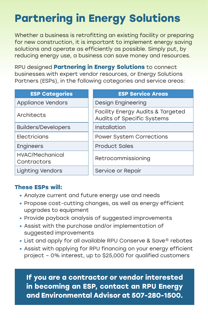# **Partnering in Energy Solutions**

Whether a business is retrofitting an existing facility or preparing for new construction, it is important to implement energy saving solutions and operate as efficiently as possible. Simply put, by reducing energy use, a business can save money and resources.

RPU designed **Partnering in Energy Solutions** to connect businesses with expert vendor resources, or Energy Solutions Partners (ESPs), in the following categories and service areas:

| <b>ESP Categories</b>                 | <b>ESP Service Areas</b>                                        |
|---------------------------------------|-----------------------------------------------------------------|
| Appliance Vendors                     | Design Engineering                                              |
| Architects                            | Facility Energy Audits & Targeted<br>Audits of Specific Systems |
| <b>Builders/Developers</b>            | Installation                                                    |
| Electricians                          | <b>Power System Corrections</b>                                 |
| Engineers                             | <b>Product Sales</b>                                            |
| <b>HVAC/Mechanical</b><br>Contractors | Retrocommissioning                                              |
| Lighting Vendors                      | Service or Repair                                               |

### **These ESPs will:**

- **•** Analyze current and future energy use and needs
- **•** Propose cost-cutting changes, as well as energy efficient upgrades to equipment
- **•** Provide payback analysis of suggested improvements
- **•** Assist with the purchase and/or implementation of suggested improvements
- **•** List and apply for all available RPU Conserve & Save® rebates
- **•** Assist with applying for RPU financing on your energy efficient project – 0% interest, up to \$25,000 for qualified customers

**If you are a contractor or vendor interested in becoming an ESP, contact an RPU Energy and Environmental Advisor at 507-280-1500.**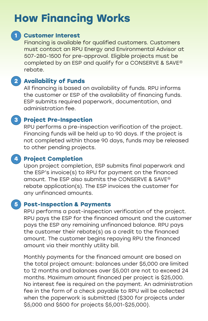# **How Financing Works**

### **1 Customer Interest**

Financing is available for qualified customers. Customers must contact an RPU Energy and Environmental Advisor at 507-280-1500 for pre-approval. Eligible projects must be completed by an ESP and qualify for a CONSERVE & SAVE® rebate.

### **2 Availability of Funds**

All financing is based on availability of funds. RPU informs the customer or ESP of the availability of financing funds. ESP submits required paperwork, documentation, and administration fee.

### **3 Project Pre-Inspection**

RPU performs a pre-inspection verification of the project. Financing funds will be held up to 90 days. If the project is not completed within those 90 days, funds may be released to other pending projects.

### **4 Project Completion**

Upon project completion, ESP submits final paperwork and the ESP's invoice(s) to RPU for payment on the financed amount. The ESP also submits the CONSERVE & SAVE® rebate application(s). The ESP invoices the customer for any unfinanced amounts.

### **5 Post-Inspection & Payments**

RPU performs a post-inspection verification of the project. RPU pays the ESP for the financed amount and the customer pays the ESP any remaining unfinanced balance. RPU pays the customer their rebate(s) as a credit to the financed amount. The customer begins repaying RPU the financed amount via their monthly utility bill.

Monthly payments for the financed amount are based on the total project amount: balances under \$5,000 are limited to 12 months and balances over \$5,001 are not to exceed 24 months. Maximum amount financed per project is \$25,000. No interest fee is required on the payment. An administration fee in the form of a check payable to RPU will be collected when the paperwork is submitted (\$300 for projects under \$5,000 and \$500 for projects \$5,001-\$25,000).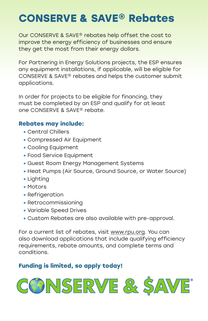# **Conserve & Save® Rebates**

Our CONSERVE & SAVE® rebates help offset the cost to improve the energy efficiency of businesses and ensure they get the most from their energy dollars.

For Partnering in Energy Solutions projects, the ESP ensures any equipment installations, if applicable, will be eligible for CONSERVE & SAVE® rebates and helps the customer submit applications.

In order for projects to be eligible for financing, they must be completed by an ESP and qualify for at least one CONSERVE & SAVE® rebate.

### **Rebates may include:**

- **•** Central Chillers
- **•** Compressed Air Equipment
- **•** Cooling Equipment
- **•** Food Service Equipment
- **•** Guest Room Energy Management Systems
- **•** Heat Pumps (Air Source, Ground Source, or Water Source)
- **•** Lighting
- **•** Motors
- **•** Refrigeration
- **•** Retrocommissioning
- **•** Variable Speed Drives
- **•** Custom Rebates are also available with pre-approval.

For a current list of rebates, visit www.rpu.org. You can also download applications that include qualifying efficiency requirements, rebate amounts, and complete terms and conditions.

### **Funding is limited, so apply today!**